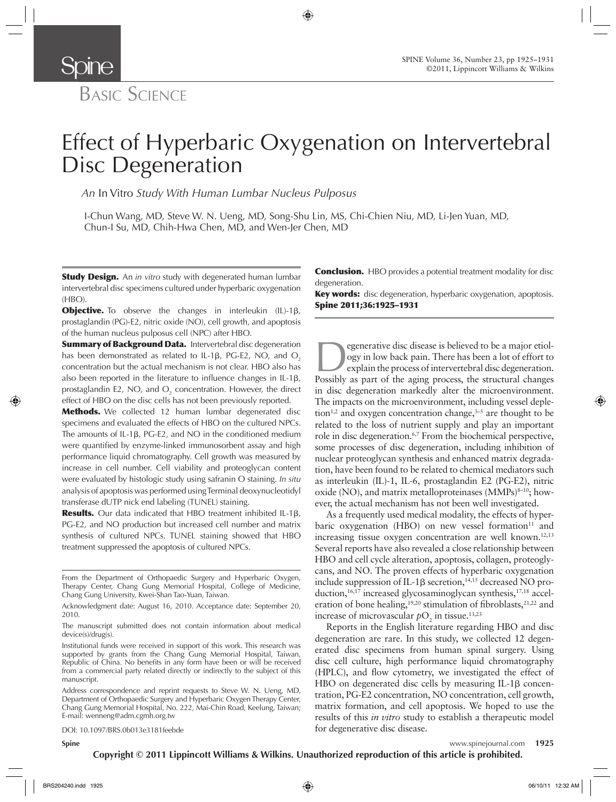

**Spine** 

# Effect of Hyperbaric Oxygenation on Intervertebral Disc Degeneration

*An* In Vitro *Study With Human Lumbar Nucleus Pulposus* 

I-Chun Wang, MD, Steve W. N. Ueng, MD, Song-Shu Lin, MS, Chi-Chien Niu, MD, Li-Jen Yuan, MD, Chun-I Su, MD, Chih-Hwa Chen, MD, and Wen-Jer Chen, MD

Study Design. An *in vitro* study with degenerated human lumbar intervertebral disc specimens cultured under hyperbaric oxygenation (HBO).

**Objective.** To observe the changes in interleukin (IL)-1β, prostaglandin (PG)-E2, nitric oxide (NO), cell growth, and apoptosis of the human nucleus pulposus cell (NPC) after HBO.

**Summary of Background Data.** Intervertebral disc degeneration has been demonstrated as related to IL-1 $\beta$ , PG-E2, NO, and O<sub>2</sub> concentration but the actual mechanism is not clear. HBO also has also been reported in the literature to influence changes in IL-1 $\beta$ , prostaglandin E2, NO, and  $O_2$  concentration. However, the direct effect of HBO on the disc cells has not been previously reported.

**Methods.** We collected 12 human lumbar degenerated disc specimens and evaluated the effects of HBO on the cultured NPCs. The amounts of IL-1 β, PG-E2, and NO in the conditioned medium were quantified by enzyme-linked immunosorbent assay and high performance liquid chromatography. Cell growth was measured by increase in cell number. Cell viability and proteoglycan content were evaluated by histologic study using safranin O staining. *In situ* analysis of apoptosis was performed using Terminal deoxynucleotidyl transferase dUTP nick end labeling (TUNEL) staining.

Results. Our data indicated that HBO treatment inhibited IL-1β, PG-E2, and NO production but increased cell number and matrix synthesis of cultured NPCs. TUNEL staining showed that HBO treatment suppressed the apoptosis of cultured NPCs.

From the Department of Orthopaedic Surgery and Hyperbaric Oxygen, Therapy Center, Chang Gung Memorial Hospital, College of Medicine, Chang Gung University, Kwei-Shan Tao-Yuan, Taiwan .

DOI: 10.1097/BRS.0b013e3181feebde

**Conclusion.** HBO provides a potential treatment modality for disc degeneration.

Key words: disc degeneration, hyperbaric oxygenation, apoptosis. Spine 2011;36:1925-1931

Experience disc disease is believed to be a major etiol-<br>ogy in low back pain. There has been a lot of effort to<br>explain the process of intervertebral disc degeneration.<br>Possibly as part of the aging process, the structura ogy in low back pain. There has been a lot of effort to explain the process of intervertebral disc degeneration. Possibly as part of the aging process, the structural changes in disc degeneration markedly alter the microenvironment. The impacts on the microenvironment, including vessel depletion<sup>1,2</sup> and oxygen concentration change,<sup> $3-5$ </sup> are thought to be related to the loss of nutrient supply and play an important role in disc degeneration.<sup>6,7</sup> From the biochemical perspective, some processes of disc degeneration, including inhibition of nuclear proteoglycan synthesis and enhanced matrix degradation, have been found to be related to chemical mediators such as interleukin (IL)-1, IL-6, prostaglandin E2 (PG-E2), nitric oxide (NO), and matrix metalloproteinases  $(MMPs)^{8-10}$ ; however, the actual mechanism has not been well investigated.

As a frequently used medical modality, the effects of hyperbaric oxygenation (HBO) on new vessel formation $11$  and increasing tissue oxygen concentration are well known.<sup>12,13</sup> Several reports have also revealed a close relationship between HBO and cell cycle alteration, apoptosis, collagen, proteoglycans, and NO. The proven effects of hyperbaric oxygenation include suppression of IL-1β secretion,<sup>14,15</sup> decreased NO production, <sup>16,17</sup> increased glycosaminoglycan synthesis, <sup>17,18</sup> acceleration of bone healing,  $19,20$  stimulation of fibroblasts,  $21,22$  and increase of microvascular  $pO_2$  in tissue.<sup>13,23</sup>

Reports in the English literature regarding HBO and disc degeneration are rare. In this study, we collected 12 degenerated disc specimens from human spinal surgery. Using disc cell culture, high performance liquid chromatography (HPLC), and flow cytometry, we investigated the effect of HBO on degenerated disc cells by measuring IL-1 $\beta$  concentration, PG-E2 concentration, NO concentration, cell growth, matrix formation, and cell apoptosis. We hoped to use the results of this *in vitro* study to establish a therapeutic model for degenerative disc disease.

Acknowledgment date: August 16, 2010. Acceptance date: September 20, 2010.

The manuscript submitted does not contain information about medical device(s)/drug(s).

Institutional funds were received in support of this work. This research was supported by grants from the Chang Gung Memorial Hospital, Taiwan, Republic of China. No benefits in any form have been or will be received from a commercial party related directly or indirectly to the subject of this manuscript.

Address correspondence and reprint requests to Steve W. N. Ueng, MD, Department of Orthopaedic Surgery and Hyperbaric Oxygen Therapy Center, Chang Gung Memorial Hospital, No. 222, Mai-Chin Road, Keelung, Taiwan; E-mail: wenneng@adm.cgmh.org.tw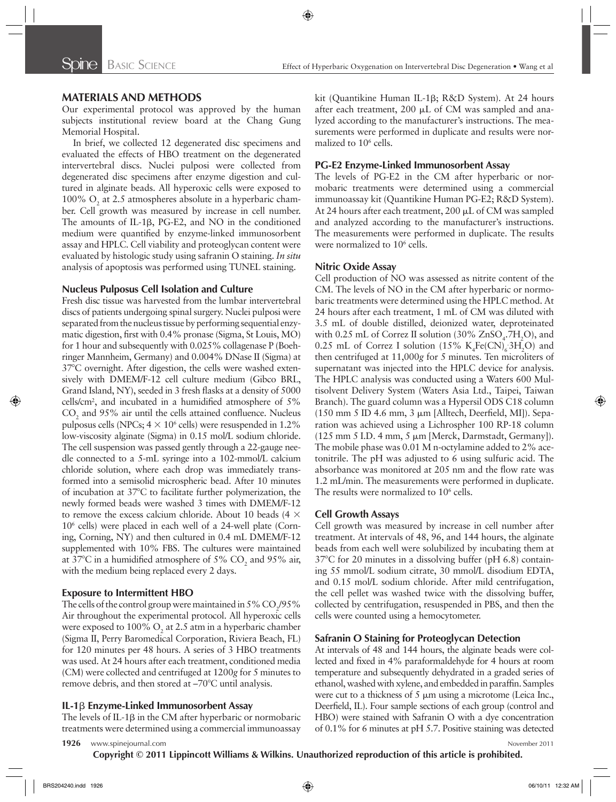## **MATERIALS AND METHODS**

Our experimental protocol was approved by the human subjects institutional review board at the Chang Gung Memorial Hospital.

In brief, we collected 12 degenerated disc specimens and evaluated the effects of HBO treatment on the degenerated intervertebral discs. Nuclei pulposi were collected from degenerated disc specimens after enzyme digestion and cultured in alginate beads. All hyperoxic cells were exposed to 100%  $O_2$  at 2.5 atmospheres absolute in a hyperbaric chamber. Cell growth was measured by increase in cell number. The amounts of IL-1β, PG-E2, and NO in the conditioned medium were quantified by enzyme-linked immunosorbent assay and HPLC. Cell viability and proteoglycan content were evaluated by histologic study using safranin O staining. *In situ* analysis of apoptosis was performed using TUNEL staining.

## **Nucleus Pulposus Cell Isolation and Culture**

Fresh disc tissue was harvested from the lumbar intervertebral discs of patients undergoing spinal surgery. Nuclei pulposi were separated from the nucleus tissue by performing sequential enzymatic digestion, first with 0.4% pronase (Sigma, St Louis, MO) for 1 hour and subsequently with 0.025% collagenase P (Boehringer Mannheim, Germany) and 0.004% DNase II (Sigma) at 37<sup>°</sup>C overnight. After digestion, the cells were washed extensively with DMEM/F-12 cell culture medium (Gibco BRL, Grand Island, NY), seeded in 3 fresh flasks at a density of 5000 cells/cm<sup>2</sup>, and incubated in a humidified atmosphere of  $5\%$  $CO<sub>2</sub>$  and 95% air until the cells attained confluence. Nucleus pulposus cells (NPCs;  $4 \times 10^6$  cells) were resuspended in 1.2% low-viscosity alginate (Sigma) in 0.15 mol/L sodium chloride. The cell suspension was passed gently through a 22-gauge needle connected to a 5-mL syringe into a 102-mmol/L calcium chloride solution, where each drop was immediately transformed into a semisolid microspheric bead. After 10 minutes of incubation at 37°C to facilitate further polymerization, the newly formed beads were washed 3 times with DMEM/F-12 to remove the excess calcium chloride. About 10 beads (4  $\times$  $10<sup>6</sup>$  cells) were placed in each well of a 24-well plate (Corning, Corning, NY) and then cultured in 0.4 mL DMEM/F-12 supplemented with 10% FBS. The cultures were maintained at 37°C in a humidified atmosphere of 5%  $CO_2$  and 95% air, with the medium being replaced every 2 days.

## **Exposure to Intermittent HBO**

The cells of the control group were maintained in 5%  $\rm CO_2/95\%$ Air throughout the experimental protocol. All hyperoxic cells were exposed to 100%  $O_2$  at 2.5 atm in a hyperbaric chamber (Sigma II, Perry Baromedical Corporation, Riviera Beach, FL) for 120 minutes per 48 hours. A series of 3 HBO treatments was used. At 24 hours after each treatment, conditioned media (CM) were collected and centrifuged at 1200g for 5 minutes to remove debris, and then stored at -70°C until analysis.

#### **IL-1** β **Enzyme-Linked Immunosorbent Assay**

The levels of IL-1 $\beta$  in the CM after hyperbaric or normobaric treatments were determined using a commercial immunoassay

kit (Quantikine Human IL-1β; R&D System). At 24 hours after each treatment, 200 μL of CM was sampled and analyzed according to the manufacturer's instructions. The measurements were performed in duplicate and results were normalized to  $10^6$  cells.

#### **PG-E2 Enzyme-Linked Immunosorbent Assay**

The levels of PG-E2 in the CM after hyperbaric or normobaric treatments were determined using a commercial immunoassay kit (Quantikine Human PG-E2; R&D System). At 24 hours after each treatment, 200 μL of CM was sampled and analyzed according to the manufacturer's instructions. The measurements were performed in duplicate. The results were normalized to 10<sup>6</sup> cells.

#### **Nitric Oxide Assay**

Cell production of NO was assessed as nitrite content of the CM. The levels of NO in the CM after hyperbaric or normobaric treatments were determined using the HPLC method. At 24 hours after each treatment, 1 mL of CM was diluted with 3.5 mL of double distilled, deionized water, deproteinated with 0.25 mL of Correz II solution (30%  $\text{ZnSO}_4$ .7H<sub>2</sub>O), and 0.25 mL of Correz I solution  $(15\% \text{ K}_4\text{Fe(CN)}_{6} \text{3H}_2\text{O})$  and then centrifuged at 11,000g for 5 minutes. Ten microliters of supernatant was injected into the HPLC device for analysis. The HPLC analysis was conducted using a Waters 600 Multisolvent Delivery System (Waters Asia Ltd., Taipei, Taiwan Branch). The guard column was a Hypersil ODS C18 column (150 mm 5 ID 4.6 mm, 3  $\mu$ m [Alltech, Deerfield, MI]). Separation was achieved using a Lichrospher 100 RP-18 column (125 mm 5 I.D. 4 mm, 5 μm [Merck, Darmstadt, Germany]). The mobile phase was 0.01 M n-octylamine added to 2% acetonitrile. The pH was adjusted to 6 using sulfuric acid. The absorbance was monitored at 205 nm and the flow rate was 1.2 mL/min. The measurements were performed in duplicate. The results were normalized to 10<sup>6</sup> cells.

## **Cell Growth Assays**

Cell growth was measured by increase in cell number after treatment. At intervals of 48, 96, and 144 hours, the alginate beads from each well were solubilized by incubating them at  $37^{\circ}$ C for 20 minutes in a dissolving buffer (pH 6.8) containing 55 mmol/L sodium citrate, 30 mmol/L disodium EDTA, and 0.15 mol/L sodium chloride. After mild centrifugation, the cell pellet was washed twice with the dissolving buffer, collected by centrifugation, resuspended in PBS, and then the cells were counted using a hemocytometer.

## **Safranin O Staining for Proteoglycan Detection**

At intervals of 48 and 144 hours, the alginate beads were collected and fixed in 4% paraformaldehyde for 4 hours at room temperature and subsequently dehydrated in a graded series of ethanol, washed with xylene, and embedded in paraffin. Samples were cut to a thickness of  $5 \mu m$  using a microtome (Leica Inc., Deerfield, IL). Four sample sections of each group (control and HBO) were stained with Safranin O with a dye concentration of 0.1% for 6 minutes at pH 5.7. Positive staining was detected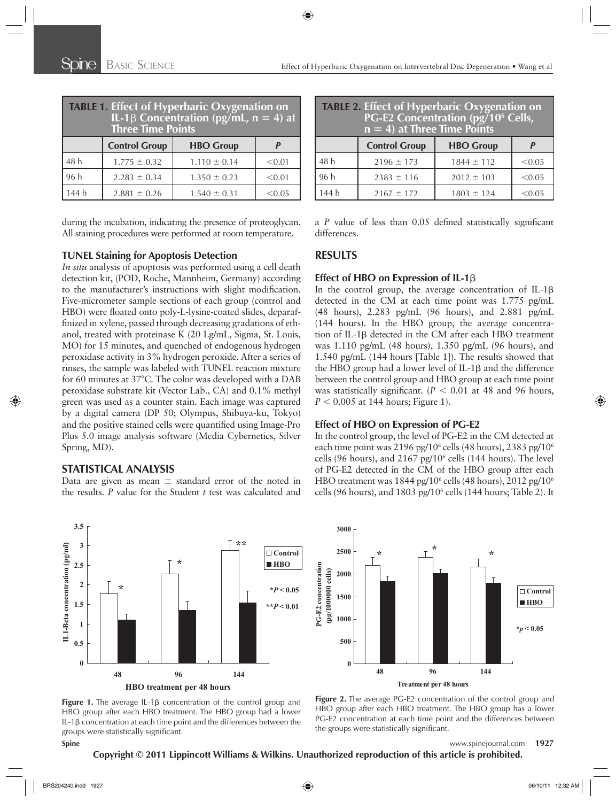| TABLE 1. Effect of Hyperbaric Oxygenation on<br>IL-1 $\beta$ Concentration (pg/mL, n = 4) at<br><b>Three Time Points</b> |                      |                  |        |
|--------------------------------------------------------------------------------------------------------------------------|----------------------|------------------|--------|
|                                                                                                                          | <b>Control Group</b> | <b>HBO Group</b> |        |
| 48 h                                                                                                                     | $1.775 \pm 0.32$     | $1.110 \pm 0.14$ | < 0.01 |
| 96h                                                                                                                      | $2.283 \pm 0.34$     | $1.350 \pm 0.23$ | < 0.01 |
| 144 h                                                                                                                    | $2.881 \pm 0.26$     | $1.540 \pm 0.31$ | < 0.05 |

during the incubation, indicating the presence of proteoglycan. All staining procedures were performed at room temperature.

## **TUNEL Staining for Apoptosis Detection**

*In situ* analysis of apoptosis was performed using a cell death detection kit, (POD, Roche, Mannheim, Germany) according to the manufacturer's instructions with slight modification. Five-micrometer sample sections of each group (control and HBO) were floated onto poly-L-lysine-coated slides, deparaffinized in xylene, passed through decreasing gradations of ethanol, treated with proteinase K (20 Lg/mL, Sigma, St. Louis, MO) for 15 minutes, and quenched of endogenous hydrogen peroxidase activity in 3% hydrogen peroxide. After a series of rinses, the sample was labeled with TUNEL reaction mixture for 60 minutes at 37°C. The color was developed with a DAB peroxidase substrate kit (Vector Lab., CA) and 0.1% methyl green was used as a counter stain. Each image was captured by a digital camera (DP 50; Olympus, Shibuya-ku, Tokyo) and the positive stained cells were quantified using Image-Pro Plus 5.0 image analysis software (Media Cybernetics, Silver Spring, MD).

## **STATISTICAL ANALYSIS**

Data are given as mean  $\pm$  standard error of the noted in the results. *P* value for the Student *t* test was calculated and

| TABLE 2. Effect of Hyperbaric Oxygenation on<br>PG-E2 Concentration (pg/10 <sup>6</sup> Cells,<br>$\overline{n} = 4$ at Three Time Points |                      |                  |        |
|-------------------------------------------------------------------------------------------------------------------------------------------|----------------------|------------------|--------|
|                                                                                                                                           | <b>Control Group</b> | <b>HBO Group</b> |        |
| 48 h                                                                                                                                      | $2196 \pm 173$       | $1844 \pm 112$   | < 0.05 |
| 96 h                                                                                                                                      | $2383 \pm 116$       | $2012 \pm 103$   | < 0.05 |
| 144 h                                                                                                                                     | $2167 \pm 172$       | $1803 \pm 124$   | < 0.05 |

a *P* value of less than 0.05 defined statistically significant differences.

## **RESULTS**

## **Effect of HBO on Expression of IL-1β**

In the control group, the average concentration of IL-1 $\beta$ detected in the CM at each time point was 1.775 pg/mL (48 hours), 2.283 pg/mL (96 hours), and 2.881 pg/mL (144 hours). In the HBO group, the average concentration of IL-1β detected in the CM after each HBO treatment was 1.110 pg/mL (48 hours), 1.350 pg/mL (96 hours), and 1.540 pg/mL (144 hours [Table 1]). The results showed that the HBO group had a lower level of IL-1β and the difference between the control group and HBO group at each time point was statistically significant.  $(P < 0.01$  at 48 and 96 hours,  $P < 0.005$  at 144 hours; Figure 1).

## **Effect of HBO on Expression of PG-E2**

In the control group, the level of PG-E2 in the CM detected at each time point was 2196 pg/10<sup>6</sup> cells (48 hours), 2383 pg/10<sup>6</sup> cells (96 hours), and  $2167$  pg/ $10<sup>6</sup>$  cells (144 hours). The level of PG-E2 detected in the CM of the HBO group after each HBO treatment was 1844 pg/10<sup>6</sup> cells (48 hours), 2012 pg/10<sup>6</sup> cells (96 hours), and  $1803$  pg/ $10<sup>6</sup>$  cells (144 hours; Table 2). It







**Figure 2.** The average PG-E2 concentration of the control group and HBO group after each HBO treatment. The HBO group has a lower PG-E2 concentration at each time point and the differences between the groups were statistically significant.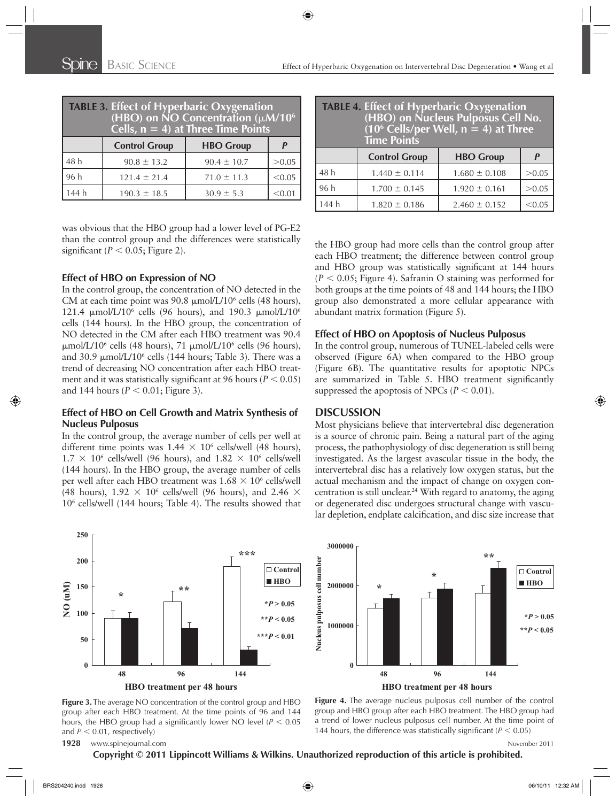| <b>TABLE 3. Effect of Hyperbaric Oxygenation</b><br>$\overline{ABO}$ on NO Concentration ( $\mu$ M/10 <sup>6</sup><br>Cells, $n = 4$ ) at Three Time Points |                      |                  |        |
|-------------------------------------------------------------------------------------------------------------------------------------------------------------|----------------------|------------------|--------|
|                                                                                                                                                             | <b>Control Group</b> | <b>HBO Group</b> |        |
| 48 h                                                                                                                                                        | $90.8 \pm 13.2$      | $90.4 \pm 10.7$  | > 0.05 |
| 96 h                                                                                                                                                        | $121.4 \pm 21.4$     | $71.0 \pm 11.3$  | < 0.05 |
| 144 h                                                                                                                                                       | $190.3 \pm 18.5$     | $30.9 \pm 5.3$   |        |

was obvious that the HBO group had a lower level of PG-E2 than the control group and the differences were statistically significant ( $P < 0.05$ ; Figure 2).

#### **Effect of HBO on Expression of NO**

In the control group, the concentration of NO detected in the CM at each time point was 90.8  $\mu$ mol/L/10<sup>6</sup> cells (48 hours), 121.4  $\mu$ mol/L/10<sup>6</sup> cells (96 hours), and 190.3  $\mu$ mol/L/10<sup>6</sup> cells (144 hours). In the HBO group, the concentration of NO detected in the CM after each HBO treatment was 90.4 μmol/L/10<sup>6</sup> cells (48 hours), 71 μmol/L/10<sup>6</sup> cells (96 hours), and 30.9  $\mu$ mol/L/10<sup>6</sup> cells (144 hours; Table 3). There was a trend of decreasing NO concentration after each HBO treatment and it was statistically significant at 96 hours ( $P < 0.05$ ) and 144 hours ( $P < 0.01$ ; Figure 3).

## **Effect of HBO on Cell Growth and Matrix Synthesis of Nucleus Pulposus**

In the control group, the average number of cells per well at different time points was  $1.44 \times 10^6$  cells/well (48 hours),  $1.7 \times 10^6$  cells/well (96 hours), and  $1.82 \times 10^6$  cells/well (144 hours). In the HBO group, the average number of cells per well after each HBO treatment was  $1.68 \times 10^6$  cells/well (48 hours),  $1.92 \times 10^6$  cells/well (96 hours), and 2.46  $\times$  $10<sup>6</sup>$  cells/well (144 hours; Table 4). The results showed that

| <b>TABLE 4. Effect of Hyperbaric Oxygenation</b><br>(HBO) on Nucleus Pulposus Cell No.<br>$(10^6 \text{ Cells/per Well}, n = 4)$ at Three<br><b>Time Points</b> |                      |                   |        |
|-----------------------------------------------------------------------------------------------------------------------------------------------------------------|----------------------|-------------------|--------|
|                                                                                                                                                                 | <b>Control Group</b> | <b>HBO Group</b>  |        |
| 48 h                                                                                                                                                            | $1.440 \pm 0.114$    | $1.680 \pm 0.108$ | >0.05  |
| 96 h                                                                                                                                                            | $1.700 \pm 0.145$    | $1.920 \pm 0.161$ | >0.05  |
| 144 h                                                                                                                                                           | $1.820 \pm 0.186$    | $2.460 \pm 0.152$ | < 0.05 |

the HBO group had more cells than the control group after each HBO treatment; the difference between control group and HBO group was statistically significant at 144 hours  $(P < 0.05$ ; Figure 4). Safranin O staining was performed for both groups at the time points of 48 and 144 hours; the HBO group also demonstrated a more cellular appearance with abundant matrix formation (Figure 5).

## **Effect of HBO on Apoptosis of Nucleus Pulposus**

In the control group, numerous of TUNEL-labeled cells were observed (Figure 6A) when compared to the HBO group (Figure 6B). The quantitative results for apoptotic NPCs are summarized in Table 5. HBO treatment significantly suppressed the apoptosis of NPCs  $(P < 0.01)$ .

#### **DISCUSSION**

Most physicians believe that intervertebral disc degeneration is a source of chronic pain. Being a natural part of the aging process, the pathophysiology of disc degeneration is still being investigated. As the largest avascular tissue in the body, the intervertebral disc has a relatively low oxygen status, but the actual mechanism and the impact of change on oxygen concentration is still unclear. 24 With regard to anatomy, the aging or degenerated disc undergoes structural change with vascular depletion, endplate calcification, and disc size increase that



**Figure 3.** The average NO concentration of the control group and HBO group after each HBO treatment. At the time points of 96 and 144 hours, the HBO group had a significantly lower NO level ( $P < 0.05$ ) and  $P < 0.01$ , respectively)



**Figure 4.** The average nucleus pulposus cell number of the control group and HBO group after each HBO treatment. The HBO group had a trend of lower nucleus pulposus cell number. At the time point of 144 hours, the difference was statistically significant  $(P < 0.05)$ 

#### **1928** www.spinejournal.com **November 2011**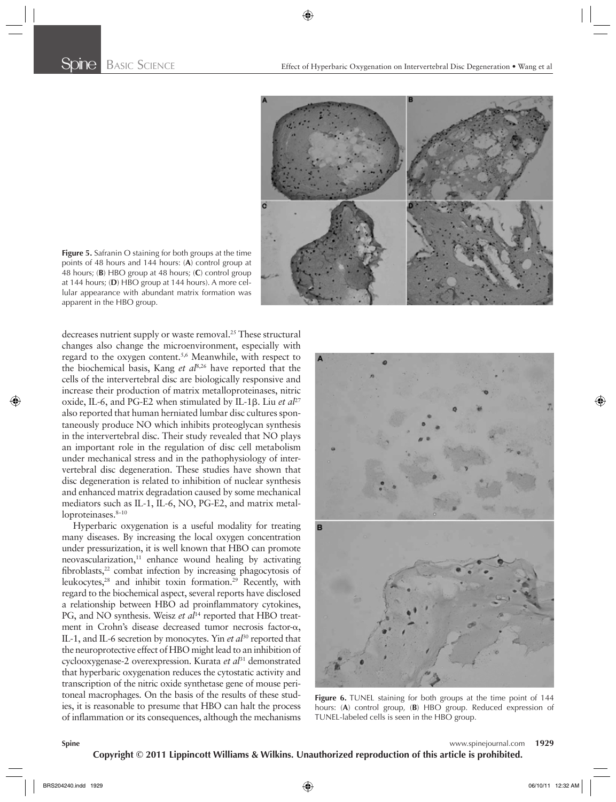

**Figure 5.** Safranin O staining for both groups at the time points of 48 hours and 144 hours: (**A**) control group at 48 hours; (**B**) HBO group at 48 hours; (**C**) control group at 144 hours; (**D**) HBO group at 144 hours). A more cellular appearance with abundant matrix formation was apparent in the HBO group.

decreases nutrient supply or waste removal.<sup>25</sup> These structural changes also change the microenvironment, especially with regard to the oxygen content.<sup>5,6</sup> Meanwhile, with respect to the biochemical basis, Kang *et al*<sup>8,26</sup> have reported that the cells of the intervertebral disc are biologically responsive and increase their production of matrix metalloproteinases, nitric oxide, IL-6, and PG-E2 when stimulated by IL-1β. Liu *et al*<sup>27</sup> also reported that human herniated lumbar disc cultures spontaneously produce NO which inhibits proteoglycan synthesis in the intervertebral disc. Their study revealed that NO plays an important role in the regulation of disc cell metabolism under mechanical stress and in the pathophysiology of intervertebral disc degeneration. These studies have shown that disc degeneration is related to inhibition of nuclear synthesis and enhanced matrix degradation caused by some mechanical mediators such as IL-1, IL-6, NO, PG-E2, and matrix metalloproteinases.<sup>8-10</sup>

Hyperbaric oxygenation is a useful modality for treating many diseases. By increasing the local oxygen concentration under pressurization, it is well known that HBO can promote neovascularization, $11$  enhance wound healing by activating fibroblasts,<sup>22</sup> combat infection by increasing phagocytosis of leukocytes,<sup>28</sup> and inhibit toxin formation.<sup>29</sup> Recently, with regard to the biochemical aspect, several reports have disclosed a relationship between HBO ad proinflammatory cytokines, PG, and NO synthesis. Weisz *et al*<sup>14</sup> reported that HBO treatment in Crohn's disease decreased tumor necrosis factor-α, IL-1, and IL-6 secretion by monocytes. Yin *et al*30 reported that the neuroprotective effect of HBO might lead to an inhibition of cyclooxygenase-2 overexpression. Kurata *et al*<sup>31</sup> demonstrated that hyperbaric oxygenation reduces the cytostatic activity and transcription of the nitric oxide synthetase gene of mouse peritoneal macrophages. On the basis of the results of these studies, it is reasonable to presume that HBO can halt the process of inflammation or its consequences, although the mechanisms



**Figure 6.** TUNEL staining for both groups at the time point of 144 hours: (**A**) control group, (**B**) HBO group. Reduced expression of TUNEL-labeled cells is seen in the HBO group.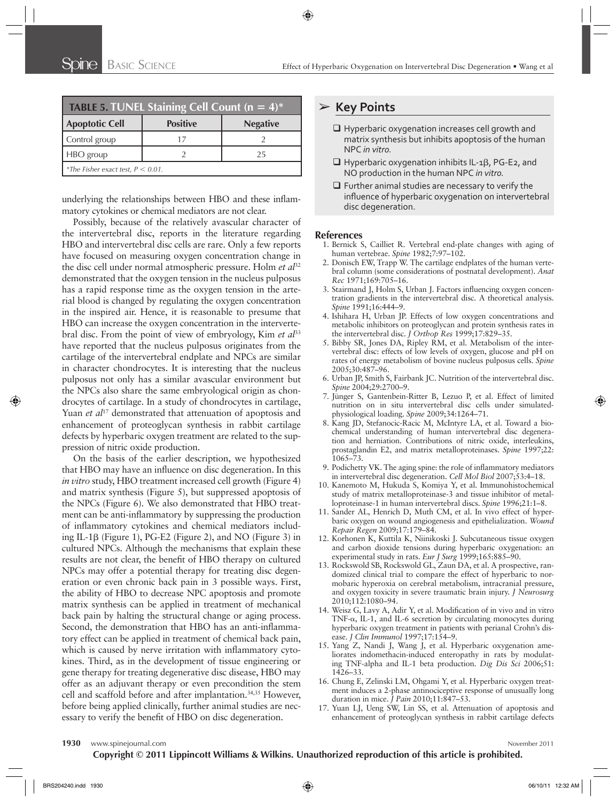| <b>TABLE 5. TUNEL Staining Cell Count (n = 4)*</b> |                 |                 |  |
|----------------------------------------------------|-----------------|-----------------|--|
| <b>Apoptotic Cell</b>                              | <b>Positive</b> | <b>Negative</b> |  |
| Control group                                      | 17              |                 |  |
| HBO group                                          |                 | 25              |  |
| *The Fisher exact test, $P < 0.01$ .               |                 |                 |  |

underlying the relationships between HBO and these inflammatory cytokines or chemical mediators are not clear.

Possibly, because of the relatively avascular character of the intervertebral disc, reports in the literature regarding HBO and intervertebral disc cells are rare. Only a few reports have focused on measuring oxygen concentration change in the disc cell under normal atmospheric pressure. Holm *et al*<sup>32</sup> demonstrated that the oxygen tension in the nucleus pulposus has a rapid response time as the oxygen tension in the arterial blood is changed by regulating the oxygen concentration in the inspired air. Hence, it is reasonable to presume that HBO can increase the oxygen concentration in the intervertebral disc. From the point of view of embryology, Kim *et al*<sup>33</sup> have reported that the nucleus pulposus originates from the cartilage of the intervertebral endplate and NPCs are similar in character chondrocytes. It is interesting that the nucleus pulposus not only has a similar avascular environment but the NPCs also share the same embryological origin as chondrocytes of cartilage. In a study of chondrocytes in cartilage, Yuan *et al*<sup>17</sup> demonstrated that attenuation of apoptosis and enhancement of proteoglycan synthesis in rabbit cartilage defects by hyperbaric oxygen treatment are related to the suppression of nitric oxide production.

On the basis of the earlier description, we hypothesized that HBO may have an influence on disc degeneration. In this *in vitro* study, HBO treatment increased cell growth (Figure 4) and matrix synthesis (Figure 5), but suppressed apoptosis of the NPCs (Figure 6). We also demonstrated that HBO treatment can be anti-inflammatory by suppressing the production of inflammatory cytokines and chemical mediators including IL-1β (Figure 1), PG-E2 (Figure 2), and NO (Figure 3) in cultured NPCs. Although the mechanisms that explain these results are not clear, the benefit of HBO therapy on cultured NPCs may offer a potential therapy for treating disc degeneration or even chronic back pain in 3 possible ways. First, the ability of HBO to decrease NPC apoptosis and promote matrix synthesis can be applied in treatment of mechanical back pain by halting the structural change or aging process. Second, the demonstration that HBO has an anti-inflammatory effect can be applied in treatment of chemical back pain, which is caused by nerve irritation with inflammatory cytokines. Third, as in the development of tissue engineering or gene therapy for treating degenerative disc disease, HBO may offer as an adjuvant therapy or even precondition the stem cell and scaffold before and after implantation.<sup>34,35</sup> However, before being applied clinically, further animal studies are necessary to verify the benefit of HBO on disc degeneration.

## ➢ **Key Points**

- **Q** Hyperbaric oxygenation increases cell growth and matrix synthesis but inhibits apoptosis of the human NPC *in vitro.*
- $\Box$  Hyperbaric oxygenation inhibits IL-1β, PG-E2, and NO production in the human NPC *in vitro.*
- $\Box$  Further animal studies are necessary to verify the influence of hyperbaric oxygenation on intervertebral disc degeneration.

#### **References**

- 1. Bernick S, Cailliet R. Vertebral end-plate changes with aging of human vertebrae. Spine 1982;7:97-102.
- 2. Donisch EW, Trapp W. The cartilage endplates of the human vertebral column (some considerations of postnatal development) . *Anat Rec* 1971;169:705-16.
- 3. Stairmand J, Holm S, Urban J. Factors influencing oxygen concentration gradients in the intervertebral disc. A theoretical analysis . *Spine* 1991;16:444-9.
- 4. Ishihara H, Urban JP. Effects of low oxygen concentrations and metabolic inhibitors on proteoglycan and protein synthesis rates in the intervertebral disc. *J Orthop Res* 1999;17:829-35.
- 5. Bibby SR, Jones DA, Ripley RM, et al. Metabolism of the intervertebral disc: effects of low levels of oxygen, glucose and pH on rates of energy metabolism of bovine nucleus pulposus cells . *Spine* 2005:30:487-96.
- 6. Urban JP, Smith S, Fairbank JC. Nutrition of the intervertebral disc. Spine 2004;29:2700-9.
- 7. Jünger S, Gantenbein-Ritter B, Lezuo P, et al. Effect of limited nutrition on in situ intervertebral disc cells under simulatedphysiological loading. Spine 2009;34:1264-71.
- 8. Kang JD, Stefanocic-Racic M, McIntyre LA, et al. Toward a biochemical understanding of human intervertebral disc degeneration and herniation. Contributions of nitric oxide, interleukins, prostaglandin E2, and matrix metalloproteinases. *Spine* 1997;22: 1065 – 73.
- 9. Podichetty VK. The aging spine: the role of inflammatory mediators in intervertebral disc degeneration. *Cell Mol Biol* 2007;53:4-18.
- 10. Kanemoto M, Hukuda S, Komiya Y, et al. Immunohistochemical study of matrix metalloproteinase-3 and tissue inhibitor of metalloproteinase-1 in human intervertebral discs. Spine 1996;21:1-8.
- 11. Sander AL, Henrich D, Muth CM, et al. In vivo effect of hyperbaric oxygen on wound angiogenesis and epithelialization. Wound *Repair Regen* 2009;17:179-84.
- 12. Korhonen K, Kuttila K, Niinikoski J. Subcutaneous tissue oxygen and carbon dioxide tensions during hyperbaric oxygenation: an experimental study in rats. *Eur J Surg* 1999;165:885-90.
- 13. Rockswold SB, Rockswold GL, Zaun DA, et al. A prospective, randomized clinical trial to compare the effect of hyperbaric to normobaric hyperoxia on cerebral metabolism, intracranial pressure, and oxygen toxicity in severe traumatic brain injury . *J Neurosurg* 2010;112:1080-94.
- 14. Weisz G, Lavy A, Adir Y, et al. Modification of in vivo and in vitro TNF- $\alpha$ , IL-1, and IL-6 secretion by circulating monocytes during hyperbaric oxygen treatment in patients with perianal Crohn's disease. *J Clin Immunol* 1997;17:154-9.
- 15. Yang Z, Nandi J, Wang J, et al. Hyperbaric oxygenation ameliorates indomethacin-induced enteropathy in rats by modulating TNF-alpha and IL-1 beta production. *Dig Dis Sci* 2006;51:  $1426 - 33$ .
- 16. Chung E, Zelinski LM, Ohgami Y, et al. Hyperbaric oxygen treatment induces a 2-phase antinociceptive response of unusually long duration in mice. *J Pain* 2010;11:847-53.
- 17. Yuan LJ, Ueng SW, Lin SS, et al. Attenuation of apoptosis and enhancement of proteoglycan synthesis in rabbit cartilage defects

**1930** www.spinejournal.com **November 2011**